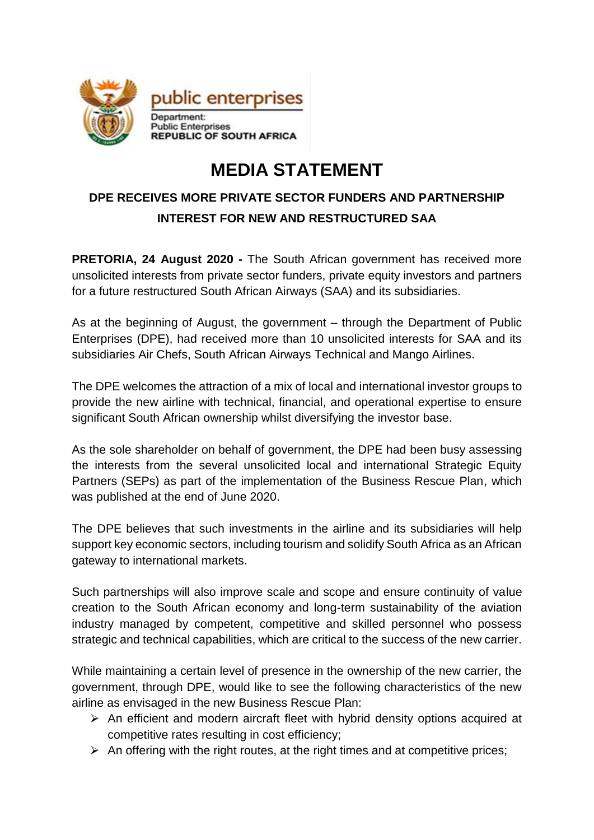

## **MEDIA STATEMENT**

## **DPE RECEIVES MORE PRIVATE SECTOR FUNDERS AND PARTNERSHIP INTEREST FOR NEW AND RESTRUCTURED SAA**

**PRETORIA, 24 August 2020 -** The South African government has received more unsolicited interests from private sector funders, private equity investors and partners for a future restructured South African Airways (SAA) and its subsidiaries.

As at the beginning of August, the government – through the Department of Public Enterprises (DPE), had received more than 10 unsolicited interests for SAA and its subsidiaries Air Chefs, South African Airways Technical and Mango Airlines.

The DPE welcomes the attraction of a mix of local and international investor groups to provide the new airline with technical, financial, and operational expertise to ensure significant South African ownership whilst diversifying the investor base.

As the sole shareholder on behalf of government, the DPE had been busy assessing the interests from the several unsolicited local and international Strategic Equity Partners (SEPs) as part of the implementation of the Business Rescue Plan, which was published at the end of June 2020.

The DPE believes that such investments in the airline and its subsidiaries will help support key economic sectors, including tourism and solidify South Africa as an African gateway to international markets.

Such partnerships will also improve scale and scope and ensure continuity of value creation to the South African economy and long-term sustainability of the aviation industry managed by competent, competitive and skilled personnel who possess strategic and technical capabilities, which are critical to the success of the new carrier.

While maintaining a certain level of presence in the ownership of the new carrier, the government, through DPE, would like to see the following characteristics of the new airline as envisaged in the new Business Rescue Plan:

- $\triangleright$  An efficient and modern aircraft fleet with hybrid density options acquired at competitive rates resulting in cost efficiency;
- $\triangleright$  An offering with the right routes, at the right times and at competitive prices;